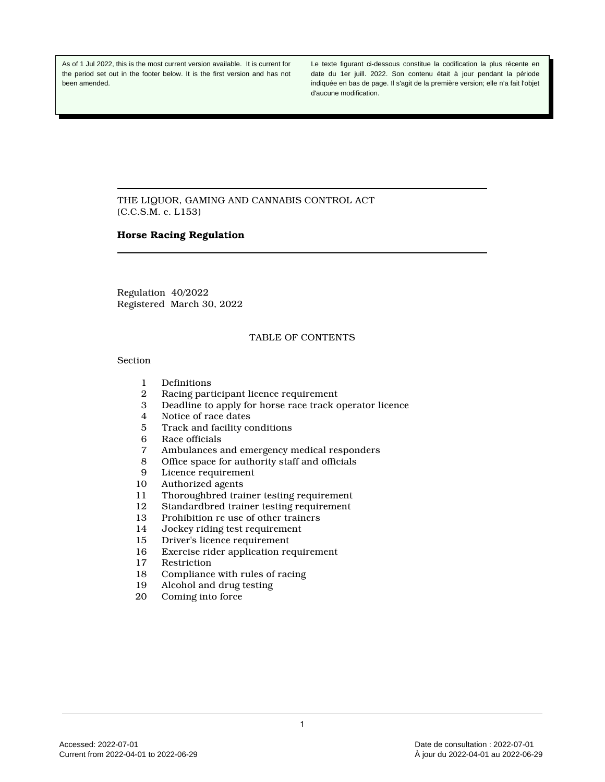As of 1 Jul 2022, this is the most current version available. It is current for the period set out in the footer below. It is the first version and has not been amended.

Le texte figurant ci-dessous constitue la codification la plus récente en date du 1er juill. 2022. Son contenu était à jour pendant la période indiquée en bas de page. Il s'agit de la première version; elle n'a fait l'objet d'aucune modification.

THE LIQUOR, GAMING AND CANNABIS CONTROL ACT (C.C.S.M. c. L153)

## **Horse Racing Regulation**

Regulation 40/2022 Registered March 30, 2022

# TABLE OF CONTENTS

## Section

- 1 Definitions
- 2 Racing participant licence requirement
- 3 Deadline to apply for horse race track operator licence
- 4 Notice of race dates
- 5 Track and facility conditions<br>6 Race officials
- 6 Race officials<br>7 Ambulances a
- 7 Ambulances and emergency medical responders
- 8 Office space for authority staff and officials
- 9 Licence requirement<br>10 Authorized agents
- Authorized agents
- 11 Thoroughbred trainer testing requirement<br>12 Standardbred trainer testing requirement
- Standardbred trainer testing requirement
- 13 Prohibition re use of other trainers
- 14 Jockey riding test requirement
- 15 Driver's licence requirement<br>16 Exercise rider application re
- Exercise rider application requirement
- 17 Restriction
- 18 Compliance with rules of racing
- 19 Alcohol and drug testing
- 20 Coming into force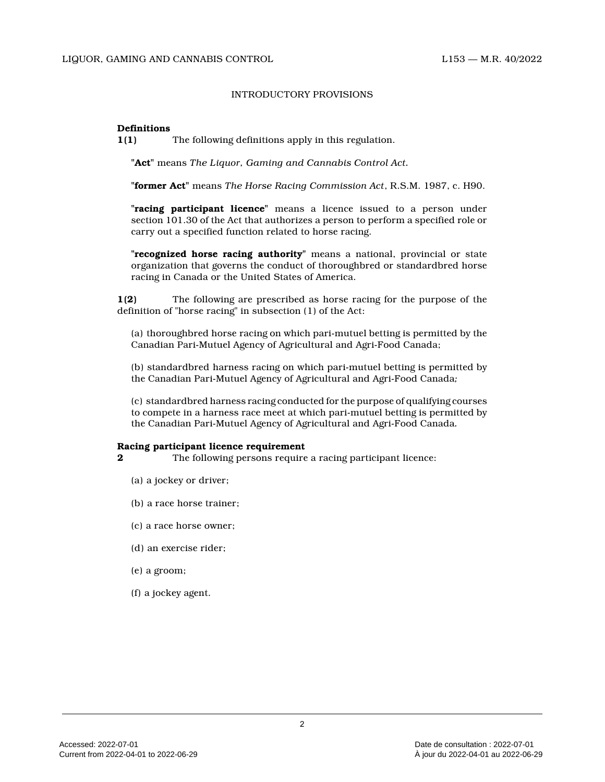### INTRODUCTORY PROVISIONS

### **Definitions**

**1(1)** The following definitions apply in this regulation.

**"Act"** means *The Liquor, Gaming and Cannabis Control Act.*

**"former Act"** means *The Horse Racing Commission Act*, R.S.M. 1987, c. H90.

**"racing participant licence"** means a licence issued to a person under section 101.30 of the Act that authorizes a person to perform a specified role or carry out a specified function related to horse racing.

**"recognized horse racing authority"** means a national, provincial or state organization that governs the conduct of thoroughbred or standardbred horse racing in Canada or the United States of America.

**1(2)** The following are prescribed as horse racing for the purpose of the definition of "horse racing" in subsection (1) of the Act:

(a) thoroughbred horse racing on which pari-mutuel betting is permitted by the Canadian Pari-Mutuel Agency of Agricultural and Agri-Food Canada;

(b) standardbred harness racing on which pari-mutuel betting is permitted by the Canadian Pari-Mutuel Agency of Agricultural and Agri-Food Canada *;*

(c) standardbred harness racing conducted for the purpose of qualifying courses to compete in a harness race meet at which pari-mutuel betting is permitted by the Canadian Pari-Mutuel Agency of Agricultural and Agri-Food Canada *.*

### **Racing participant licence requirement**

**2** The following persons require a racing participant licence:

- (a) a jockey or driver;
- (b) a race horse trainer;
- (c) a race horse owner;
- (d) an exercise rider;
- (e) a groom;
- (f) a jockey agent.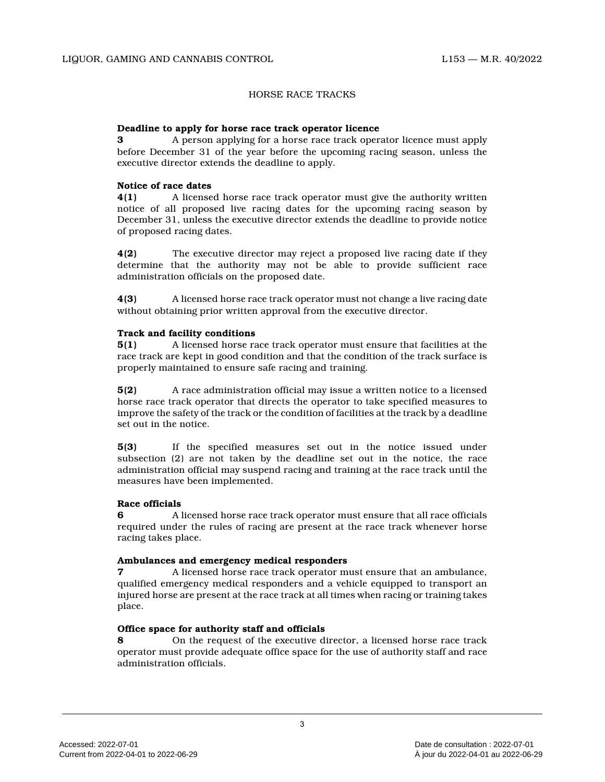## HORSE RACE TRACKS

### **Deadline to apply for horse race track operator licence**

**3** A person applying for a horse race track operator licence must apply before December 31 of the year before the upcoming racing season, unless the executive director extends the deadline to apply.

#### **Notice of race dates**

**4(1)** A licensed horse race track operator must give the authority written notice of all proposed live racing dates for the upcoming racing season by December 31, unless the executive director extends the deadline to provide notice of proposed racing dates.

**4(2)** The executive director may reject a proposed live racing date if they determine that the authority may not be able to provide sufficient race administration officials on the proposed date.

**4(3)** A licensed horse race track operator must not change a live racing date without obtaining prior written approval from the executive director.

#### **Track and facility conditions**

**5(1)** A licensed horse race track operator must ensure that facilities at the race track are kept in good condition and that the condition of the track surface is properly maintained to ensure safe racing and training.

**5(2)** A race administration official may issue a written notice to a licensed horse race track operator that directs the operator to take specified measures to improve the safety of the track or the condition of facilities at the track by a deadline set out in the notice.

**5(3)** If the specified measures set out in the notice issued under subsection (2) are not taken by the deadline set out in the notice, the race administration official may suspend racing and training at the race track until the measures have been implemented.

### **Race officials**

**6** A licensed horse race track operator must ensure that all race officials required under the rules of racing are present at the race track whenever horse racing takes place.

#### **Ambulances and emergency medical responders**

**7** A licensed horse race track operator must ensure that an ambulance, qualified emergency medical responders and a vehicle equipped to transport an injured horse are present at the race track at all times when racing or training takes place.

## **Office space for authority staff and officials**

**8** On the request of the executive director, a licensed horse race track operator must provide adequate office space for the use of authority staff and race administration officials.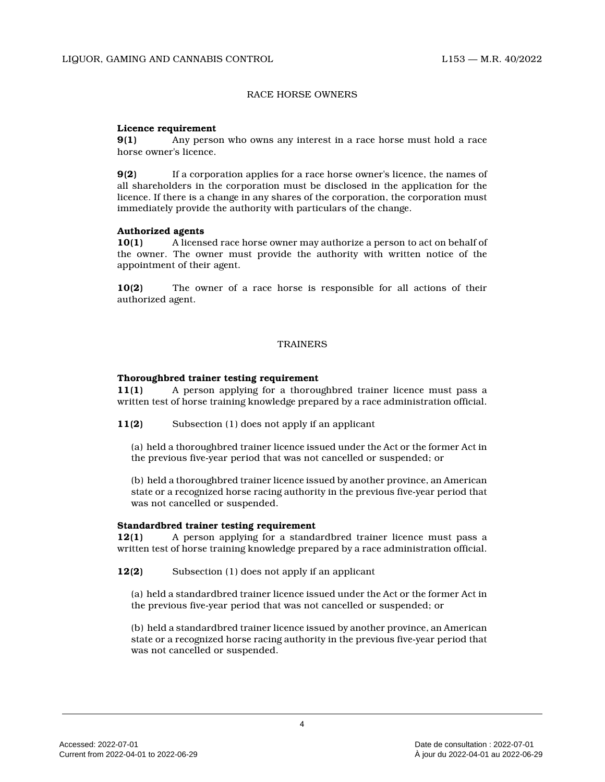### RACE HORSE OWNERS

### **Licence requirement**

**9(1)** Any person who owns any interest in a race horse must hold a race horse owner's licence.

**9(2)** If a corporation applies for a race horse owner's licence, the names of all shareholders in the corporation must be disclosed in the application for the licence. If there is a change in any shares of the corporation, the corporation must immediately provide the authority with particulars of the change.

### **Authorized agents**

**10(1)** A licensed race horse owner may authorize a person to act on behalf of the owner. The owner must provide the authority with written notice of the appointment of their agent.

**10(2)** The owner of a race horse is responsible for all actions of their authorized agent.

## **TRAINERS**

### **Thoroughbred trainer testing requirement**

**11(1)** A person applying for a thoroughbred trainer licence must pass a written test of horse training knowledge prepared by a race administration official.

**11(2)** Subsection (1) does not apply if an applicant

(a) held a thoroughbred trainer licence issued under the Act or the former Act in the previous five-year period that was not cancelled or suspended; or

(b) held a thoroughbred trainer licence issued by another province, an American state or a recognized horse racing authority in the previous five-year period that was not cancelled or suspended.

### **Standardbred trainer testing requirement**

**12(1)** A person applying for a standardbred trainer licence must pass a written test of horse training knowledge prepared by a race administration official.

**12(2)** Subsection (1) does not apply if an applicant

(a) held a standardbred trainer licence issued under the Act or the former Act in the previous five-year period that was not cancelled or suspended; or

(b) held a standardbred trainer licence issued by another province, an American state or a recognized horse racing authority in the previous five-year period that was not cancelled or suspended.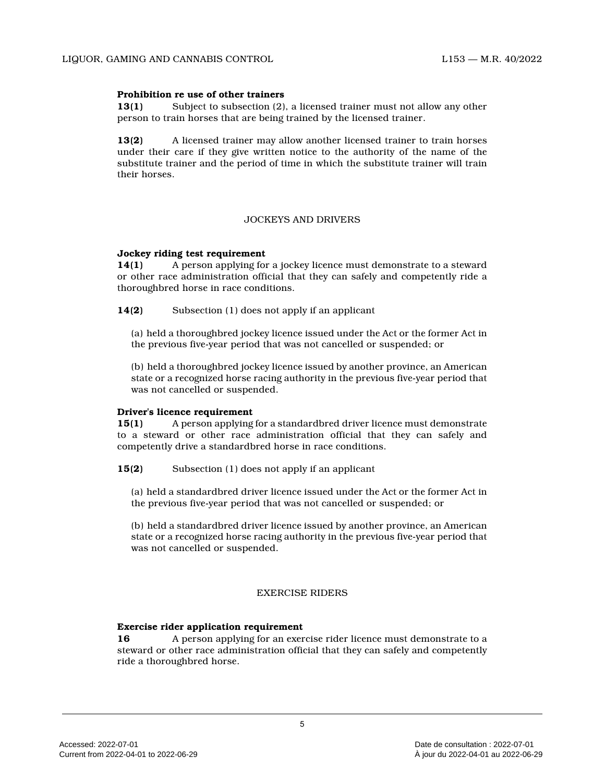## **Prohibition re use of other trainers**

**13(1)** Subject to subsection (2), a licensed trainer must not allow any other person to train horses that are being trained by the licensed trainer.

**13(2)** A licensed trainer may allow another licensed trainer to train horses under their care if they give written notice to the authority of the name of the substitute trainer and the period of time in which the substitute trainer will train their horses.

### JOCKEYS AND DRIVERS

### **Jockey riding test requirement**

**14(1)** A person applying for a jockey licence must demonstrate to a steward or other race administration official that they can safely and competently ride a thoroughbred horse in race conditions.

**14(2)** Subsection (1) does not apply if an applicant

(a) held a thoroughbred jockey licence issued under the Act or the former Act in the previous five-year period that was not cancelled or suspended; or

(b) held a thoroughbred jockey licence issued by another province, an American state or a recognized horse racing authority in the previous five-year period that was not cancelled or suspended.

### **Driver's licence requirement**

**15(1)** A person applying for a standardbred driver licence must demonstrate to a steward or other race administration official that they can safely and competently drive a standardbred horse in race conditions.

**15(2)** Subsection (1) does not apply if an applicant

(a) held a standardbred driver licence issued under the Act or the former Act in the previous five-year period that was not cancelled or suspended; or

(b) held a standardbred driver licence issued by another province, an American state or a recognized horse racing authority in the previous five-year period that was not cancelled or suspended.

# EXERCISE RIDERS

# **Exercise rider application requirement**

**16** A person applying for an exercise rider licence must demonstrate to a steward or other race administration official that they can safely and competently ride a thoroughbred horse.